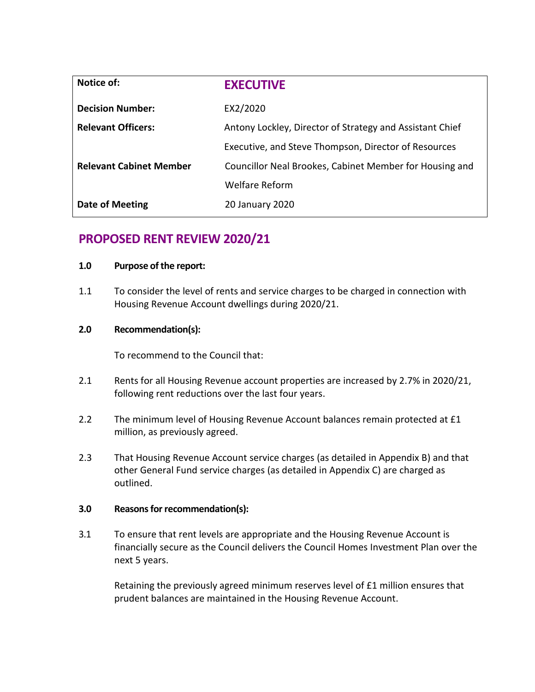| Notice of:                     | <b>EXECUTIVE</b>                                         |
|--------------------------------|----------------------------------------------------------|
| <b>Decision Number:</b>        | EX2/2020                                                 |
| <b>Relevant Officers:</b>      | Antony Lockley, Director of Strategy and Assistant Chief |
|                                | Executive, and Steve Thompson, Director of Resources     |
| <b>Relevant Cabinet Member</b> | Councillor Neal Brookes, Cabinet Member for Housing and  |
|                                | Welfare Reform                                           |
| <b>Date of Meeting</b>         | 20 January 2020                                          |

# **PROPOSED RENT REVIEW 2020/21**

## **1.0 Purpose of the report:**

1.1 To consider the level of rents and service charges to be charged in connection with Housing Revenue Account dwellings during 2020/21.

# **2.0 Recommendation(s):**

To recommend to the Council that:

- 2.1 Rents for all Housing Revenue account properties are increased by 2.7% in 2020/21, following rent reductions over the last four years.
- 2.2 The minimum level of Housing Revenue Account balances remain protected at £1 million, as previously agreed.
- 2.3 That Housing Revenue Account service charges (as detailed in Appendix B) and that other General Fund service charges (as detailed in Appendix C) are charged as outlined.

# **3.0 Reasons for recommendation(s):**

3.1 To ensure that rent levels are appropriate and the Housing Revenue Account is financially secure as the Council delivers the Council Homes Investment Plan over the next 5 years.

Retaining the previously agreed minimum reserves level of £1 million ensures that prudent balances are maintained in the Housing Revenue Account.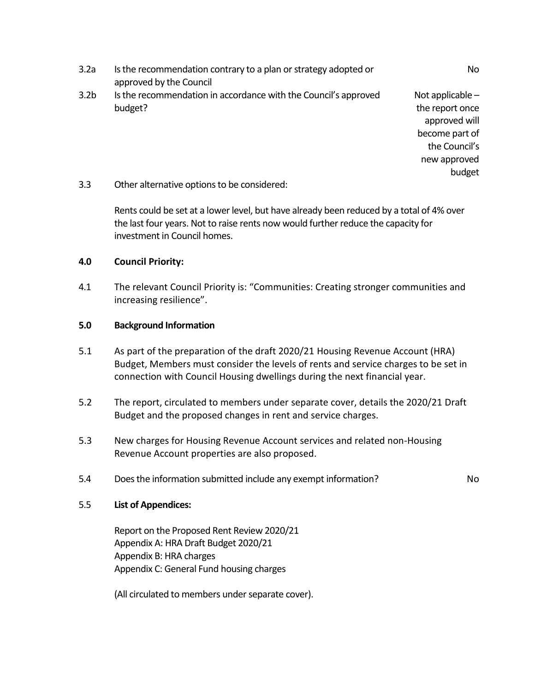- 3.2a Is the recommendation contrary to a plan or strategy adopted or approved by the Council No 3.2b Is the recommendation in accordance with the Council's approved budget? Not applicable – the report once approved will become part of the Council's new approved budget
- 3.3 Other alternative options to be considered:

Rents could be set at a lower level, but have already been reduced by a total of 4% over the last four years. Not to raise rents now would further reduce the capacity for investment in Council homes.

# **4.0 Council Priority:**

4.1 The relevant Council Priority is: "Communities: Creating stronger communities and increasing resilience".

## **5.0 Background Information**

- 5.1 As part of the preparation of the draft 2020/21 Housing Revenue Account (HRA) Budget, Members must consider the levels of rents and service charges to be set in connection with Council Housing dwellings during the next financial year.
- 5.2 The report, circulated to members under separate cover, details the 2020/21 Draft Budget and the proposed changes in rent and service charges.
- 5.3 New charges for Housing Revenue Account services and related non-Housing Revenue Account properties are also proposed.
- 5.4 Does the information submitted include any exempt information?

# 5.5 **List of Appendices:**

Report on the Proposed Rent Review 2020/21 Appendix A: HRA Draft Budget 2020/21 Appendix B: HRA charges Appendix C: General Fund housing charges

(All circulated to members under separate cover).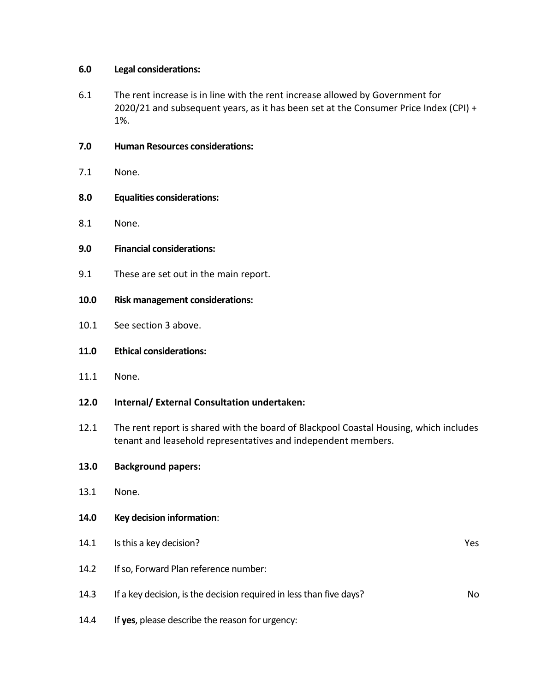# **6.0 Legal considerations:**

- 6.1 The rent increase is in line with the rent increase allowed by Government for 2020/21 and subsequent years, as it has been set at the Consumer Price Index (CPI) + 1%.
- **7.0 Human Resources considerations:**
- 7.1 None.
- **8.0 Equalities considerations:**
- 8.1 None.
- **9.0 Financial considerations:**
- 9.1 These are set out in the main report.
- **10.0 Risk management considerations:**
- 10.1 See section 3 above.
- **11.0 Ethical considerations:**
- 11.1 None.
- **12.0 Internal/ External Consultation undertaken:**
- 12.1 The rent report is shared with the board of Blackpool Coastal Housing, which includes tenant and leasehold representatives and independent members.

# **13.0 Background papers:**

- 13.1 None.
- **14.0 Key decision information**:
- 14.1 Is this a key decision? The set of the set of the set of the set of the set of the set of the set of the set of the set of the set of the set of the set of the set of the set of the set of the set of the set of the se 14.2 If so, Forward Plan reference number: 14.3 If a key decision, is the decision required in less than five days? 14.4 If **yes**, please describe the reason for urgency: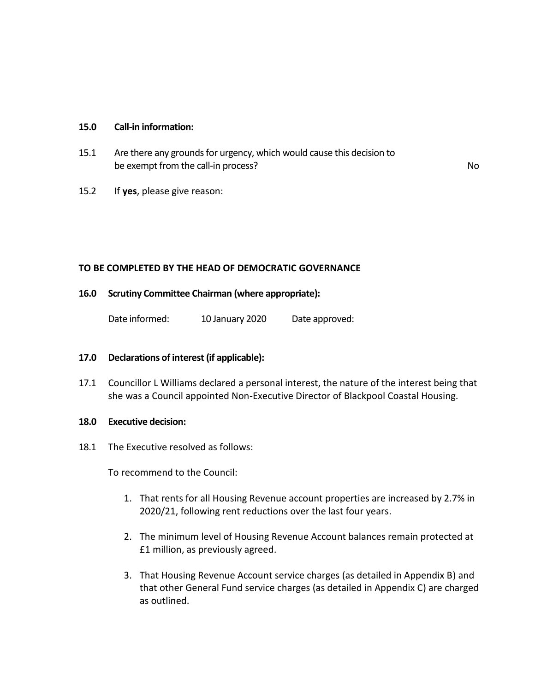#### **15.0 Call-in information:**

- 15.1 Are there any grounds for urgency, which would cause this decision to be exempt from the call-in process? No was a set of the call-in process?
- 15.2 If **yes**, please give reason:

## **TO BE COMPLETED BY THE HEAD OF DEMOCRATIC GOVERNANCE**

## **16.0 Scrutiny Committee Chairman (where appropriate):**

Date informed: 10 January 2020 Date approved:

#### **17.0 Declarations of interest (if applicable):**

17.1 Councillor L Williams declared a personal interest, the nature of the interest being that she was a Council appointed Non-Executive Director of Blackpool Coastal Housing.

#### **18.0 Executive decision:**

18.1 The Executive resolved as follows:

To recommend to the Council:

- 1. That rents for all Housing Revenue account properties are increased by 2.7% in 2020/21, following rent reductions over the last four years.
- 2. The minimum level of Housing Revenue Account balances remain protected at £1 million, as previously agreed.
- 3. That Housing Revenue Account service charges (as detailed in Appendix B) and that other General Fund service charges (as detailed in Appendix C) are charged as outlined.